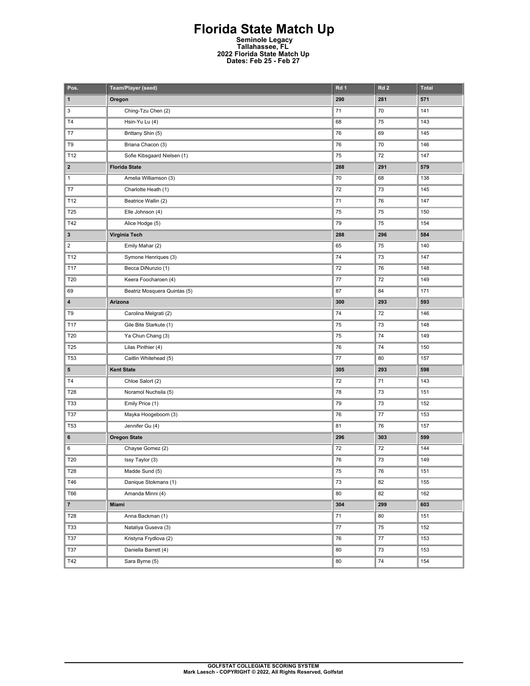## **Florida State Match Up Seminole Legacy Tallahassee, FL 2022 Florida State Match Up Dates: Feb 25 - Feb 27**

| Pos.                    | Team/Player (seed)           | Rd 1 | Rd <sub>2</sub> | <b>Total</b> |
|-------------------------|------------------------------|------|-----------------|--------------|
| $\mathbf{1}$            | Oregon                       | 290  | 281             | 571          |
| 3                       | Ching-Tzu Chen (2)           | 71   | 70              | 141          |
| T <sub>4</sub>          | Hsin-Yu Lu (4)               | 68   | 75              | 143          |
| T7                      | Brittany Shin (5)            | 76   | 69              | 145          |
| T9                      | Briana Chacon (3)            | 76   | 70              | 146          |
| T12                     | Sofie Kibsgaard Nielsen (1)  | 75   | 72              | 147          |
| $\mathbf{2}$            | <b>Florida State</b>         | 288  | 291             | 579          |
| $\mathbf{1}$            | Amelia Williamson (3)        | 70   | 68              | 138          |
| T7                      | Charlotte Heath (1)          | 72   | 73              | 145          |
| T12                     | Beatrice Wallin (2)          | 71   | 76              | 147          |
| T25                     | Elle Johnson (4)             | 75   | 75              | 150          |
| T42                     | Alice Hodge (5)              | 79   | 75              | 154          |
| $\mathbf{3}$            | Virginia Tech                | 288  | 296             | 584          |
| $\overline{\mathbf{c}}$ | Emily Mahar (2)              | 65   | 75              | 140          |
| T12                     | Symone Henriques (3)         | 74   | 73              | 147          |
| T17                     | Becca DiNunzio (1)           | 72   | 76              | 148          |
| T20                     | Keera Foocharoen (4)         | 77   | 72              | 149          |
| 69                      | Beatriz Mosquera Quintas (5) | 87   | 84              | 171          |
| 4                       | Arizona                      | 300  | 293             | 593          |
| T9                      | Carolina Melgrati (2)        | 74   | 72              | 146          |
| T17                     | Gile Bite Starkute (1)       | 75   | 73              | 148          |
| T20                     | Ya Chun Chang (3)            | 75   | 74              | 149          |
| T25                     | Lilas Pinthier (4)           | 76   | 74              | 150          |
| T <sub>53</sub>         | Caitlin Whitehead (5)        | 77   | 80              | 157          |
| 5                       | <b>Kent State</b>            | 305  | 293             | 598          |
| T <sub>4</sub>          | Chloe Salort (2)             | 72   | 71              | 143          |
| T28                     | Noramol Nuchsila (5)         | 78   | 73              | 151          |
| <b>T33</b>              | Emily Price (1)              | 79   | 73              | 152          |
| <b>T37</b>              | Mayka Hoogeboom (3)          | 76   | 77              | 153          |
| T <sub>53</sub>         | Jennifer Gu (4)              | 81   | 76              | 157          |
| 6                       | <b>Oregon State</b>          | 296  | 303             | 599          |
| 6                       | Chayse Gomez (2)             | 72   | 72              | 144          |
| T20                     | Issy Taylor (3)              | 76   | 73              | 149          |
| <b>T28</b>              | Madde Sund (5)               | 75   | 76              | 151          |
| T46                     | Danique Stokmans (1)         | 73   | 82              | 155          |
| T66                     | Amanda Minni (4)             | 80   | 82              | 162          |
| $\mathbf{7}$            | <b>Miami</b>                 | 304  | 299             | 603          |
| T28                     | Anna Backman (1)             | 71   | 80              | 151          |
| T33                     | Nataliya Guseva (3)          | 77   | 75              | 152          |
| <b>T37</b>              | Kristyna Frydlova (2)        | 76   | 77              | 153          |
| <b>T37</b>              | Daniella Barrett (4)         | 80   | 73              | 153          |
| T42                     | Sara Byrne (5)               | 80   | 74              | 154          |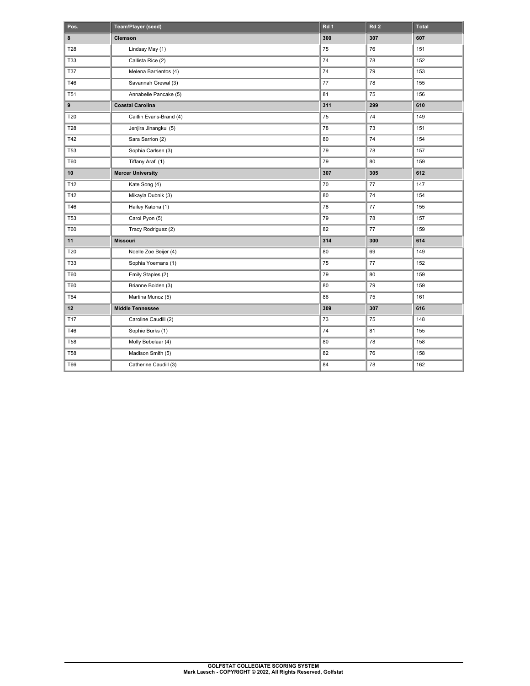| Pos.            | Team/Player (seed)       | Rd <sub>1</sub> | Rd <sub>2</sub> | <b>Total</b> |
|-----------------|--------------------------|-----------------|-----------------|--------------|
| 8               | Clemson                  | 300             | 307             | 607          |
| T28             | Lindsay May (1)          | 75              | 76              | 151          |
| T33             | Callista Rice (2)        | 74              | 78              | 152          |
| <b>T37</b>      | Melena Barrientos (4)    | 74              | 79              | 153          |
| T46             | Savannah Grewal (3)      | 77              | 78              | 155          |
| <b>T51</b>      | Annabelle Pancake (5)    | 81              | 75              | 156          |
| 9               | <b>Coastal Carolina</b>  | 311             | 299             | 610          |
| T20             | Caitlin Evans-Brand (4)  | 75              | 74              | 149          |
| T28             | Jenjira Jinangkul (5)    | 78              | 73              | 151          |
| T42             | Sara Sarrion (2)         | 80              | 74              | 154          |
| <b>T53</b>      | Sophia Carlsen (3)       | 79              | 78              | 157          |
| <b>T60</b>      | Tiffany Arafi (1)        | 79              | 80              | 159          |
| 10              | <b>Mercer University</b> | 307             | 305             | 612          |
| T <sub>12</sub> | Kate Song (4)            | 70              | 77              | 147          |
| T42             | Mikayla Dubnik (3)       | 80              | 74              | 154          |
| T46             | Hailey Katona (1)        | 78              | 77              | 155          |
| <b>T53</b>      | Carol Pyon (5)           | 79              | 78              | 157          |
| T60             | Tracy Rodriguez (2)      | 82              | 77              | 159          |
| 11              | <b>Missouri</b>          | 314             | 300             | 614          |
| T20             | Noelle Zoe Beijer (4)    | 80              | 69              | 149          |
| T33             | Sophia Yoemans (1)       | 75              | 77              | 152          |
| <b>T60</b>      | Emily Staples (2)        | 79              | 80              | 159          |
| <b>T60</b>      | Brianne Bolden (3)       | 80              | 79              | 159          |
| T64             | Martina Munoz (5)        | 86              | 75              | 161          |
| 12              | <b>Middle Tennessee</b>  | 309             | 307             | 616          |
| T17             | Caroline Caudill (2)     | 73              | 75              | 148          |
| T46             | Sophie Burks (1)         | 74              | 81              | 155          |
| <b>T58</b>      | Molly Bebelaar (4)       | 80              | 78              | 158          |
| <b>T58</b>      | Madison Smith (5)        | 82              | 76              | 158          |
| T66             | Catherine Caudill (3)    | 84              | 78              | 162          |